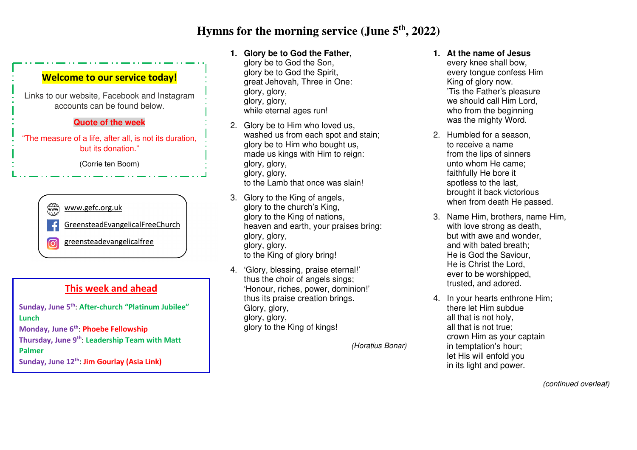# **Hymns for the morning service (June 5th, 2022)**

#### **Welcome to our service today!**

Links to our website, Facebook and Instagram accounts can be found below.

#### **Quote of the week**

"The measure of a life, after all, is not its duration, but its donation."

(Corrie ten Boom)

## $\binom{1}{\text{www}}$ www.gefc.org.uk GreensteadEvangelicalFreeChurch

greensteadevangelicalfree രി

### **This week and ahead**

| Sunday, June 5 <sup>th</sup> : After-church "Platinum Jubilee" |
|----------------------------------------------------------------|
| Lunch                                                          |
| Monday, June 6 <sup>th</sup> : Phoebe Fellowship               |
| Thursday, June 9th: Leadership Team with Matt                  |
| <b>Palmer</b>                                                  |
| Sunday, June 12 <sup>th</sup> : Jim Gourlay (Asia Link)        |
|                                                                |

### **1. Glory be to God the Father,**

- glory be to God the Son, glory be to God the Spirit, great Jehovah, Three in One: glory, glory, glory, glory, while eternal ages run!
- 2. Glory be to Him who loved us, washed us from each spot and stain; glory be to Him who bought us, made us kings with Him to reign: glory, glory, glory, glory, to the Lamb that once was slain!
- 3. Glory to the King of angels, glory to the church's King, glory to the King of nations, heaven and earth, your praises bring: glory, glory, glory, glory, to the King of glory bring!
- 4. 'Glory, blessing, praise eternal!' thus the choir of angels sings; 'Honour, riches, power, dominion!' thus its praise creation brings. Glory, glory, glory, glory, glory to the King of kings!

(Horatius Bonar)

- **1. At the name of Jesus** every knee shall bow, every tongue confess Him King of glory now. 'Tis the Father's pleasure we should call Him Lord, who from the beginning was the mighty Word.
- 2. Humbled for a season, to receive a name from the lips of sinners unto whom He came; faithfully He bore it spotless to the last, brought it back victorious when from death He passed.
- 3. Name Him, brothers, name Him, with love strong as death. but with awe and wonder, and with bated breath; He is God the Saviour, He is Christ the Lord, ever to be worshipped, trusted, and adored.
- 4. In your hearts enthrone Him; there let Him subdue all that is not holy, all that is not true; crown Him as your captain in temptation's hour; let His will enfold you in its light and power.

(continued overleaf)